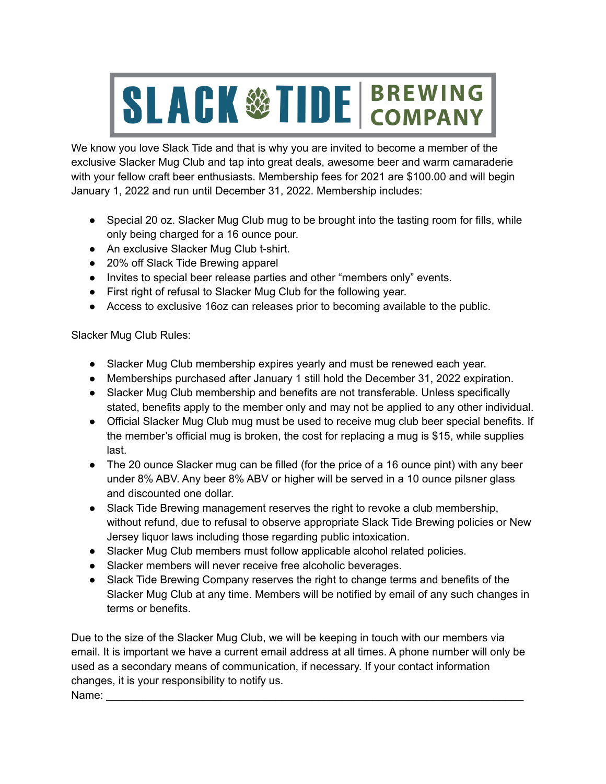## SLACK & TIDE | BREWING

We know you love Slack Tide and that is why you are invited to become a member of the exclusive Slacker Mug Club and tap into great deals, awesome beer and warm camaraderie with your fellow craft beer enthusiasts. Membership fees for 2021 are \$100.00 and will begin January 1, 2022 and run until December 31, 2022. Membership includes:

- Special 20 oz. Slacker Mug Club mug to be brought into the tasting room for fills, while only being charged for a 16 ounce pour.
- An exclusive Slacker Mug Club t-shirt.
- 20% off Slack Tide Brewing apparel
- Invites to special beer release parties and other "members only" events.
- First right of refusal to Slacker Mug Club for the following year.
- Access to exclusive 16oz can releases prior to becoming available to the public.

Slacker Mug Club Rules:

- Slacker Mug Club membership expires yearly and must be renewed each year.
- Memberships purchased after January 1 still hold the December 31, 2022 expiration.
- Slacker Mug Club membership and benefits are not transferable. Unless specifically stated, benefits apply to the member only and may not be applied to any other individual.
- Official Slacker Mug Club mug must be used to receive mug club beer special benefits. If the member's official mug is broken, the cost for replacing a mug is \$15, while supplies last.
- The 20 ounce Slacker mug can be filled (for the price of a 16 ounce pint) with any beer under 8% ABV. Any beer 8% ABV or higher will be served in a 10 ounce pilsner glass and discounted one dollar.
- Slack Tide Brewing management reserves the right to revoke a club membership, without refund, due to refusal to observe appropriate Slack Tide Brewing policies or New Jersey liquor laws including those regarding public intoxication.
- Slacker Mug Club members must follow applicable alcohol related policies.
- Slacker members will never receive free alcoholic beverages.
- Slack Tide Brewing Company reserves the right to change terms and benefits of the Slacker Mug Club at any time. Members will be notified by email of any such changes in terms or benefits.

Due to the size of the Slacker Mug Club, we will be keeping in touch with our members via email. It is important we have a current email address at all times. A phone number will only be used as a secondary means of communication, if necessary. If your contact information changes, it is your responsibility to notify us. Name: